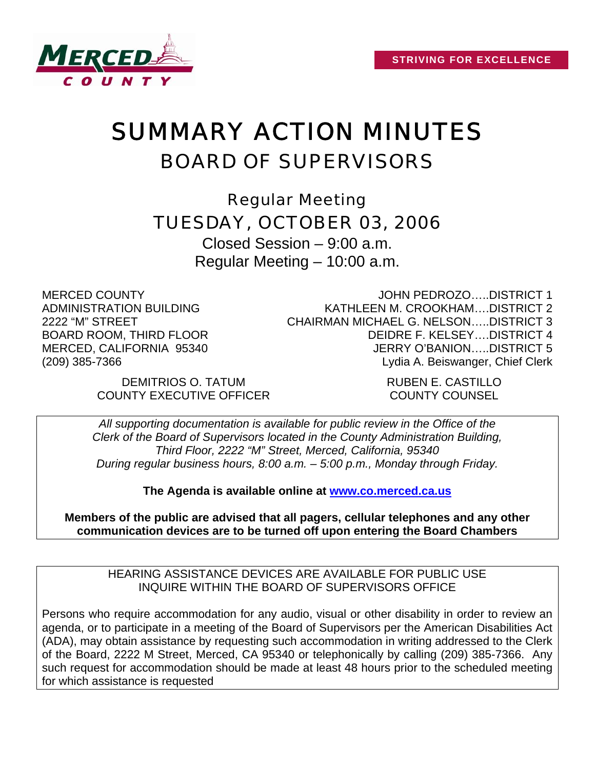

# SUMMARY ACTION MINUTES BOARD OF SUPERVISORS

Regular Meeting TUESDAY, OCTOBER 03, 2006

Closed Session – 9:00 a.m. Regular Meeting – 10:00 a.m.

MERCED COUNTY ADMINISTRATION BUILDING 2222 "M" STREET BOARD ROOM, THIRD FLOOR MERCED, CALIFORNIA 95340 (209) 385-7366

JOHN PEDROZO…..DISTRICT 1 KATHLEEN M. CROOKHAM….DISTRICT 2 CHAIRMAN MICHAEL G. NELSON…..DISTRICT 3 DEIDRE F. KELSEY….DISTRICT 4 JERRY O'BANION…..DISTRICT 5 Lydia A. Beiswanger, Chief Clerk

DEMITRIOS O. TATUM RUBEN E. CASTILLO COUNTY EXECUTIVE OFFICER COUNTY COUNSEL

*All supporting documentation is available for public review in the Office of the Clerk of the Board of Supervisors located in the County Administration Building, Third Floor, 2222 "M" Street, Merced, California, 95340 During regular business hours, 8:00 a.m. – 5:00 p.m., Monday through Friday.* 

**The Agenda is available online at [www.co.merced.ca.us](http://www.co.merced.ca.us/)**

**Members of the public are advised that all pagers, cellular telephones and any other communication devices are to be turned off upon entering the Board Chambers**

HEARING ASSISTANCE DEVICES ARE AVAILABLE FOR PUBLIC USE INQUIRE WITHIN THE BOARD OF SUPERVISORS OFFICE

Persons who require accommodation for any audio, visual or other disability in order to review an agenda, or to participate in a meeting of the Board of Supervisors per the American Disabilities Act (ADA), may obtain assistance by requesting such accommodation in writing addressed to the Clerk of the Board, 2222 M Street, Merced, CA 95340 or telephonically by calling (209) 385-7366. Any such request for accommodation should be made at least 48 hours prior to the scheduled meeting for which assistance is requested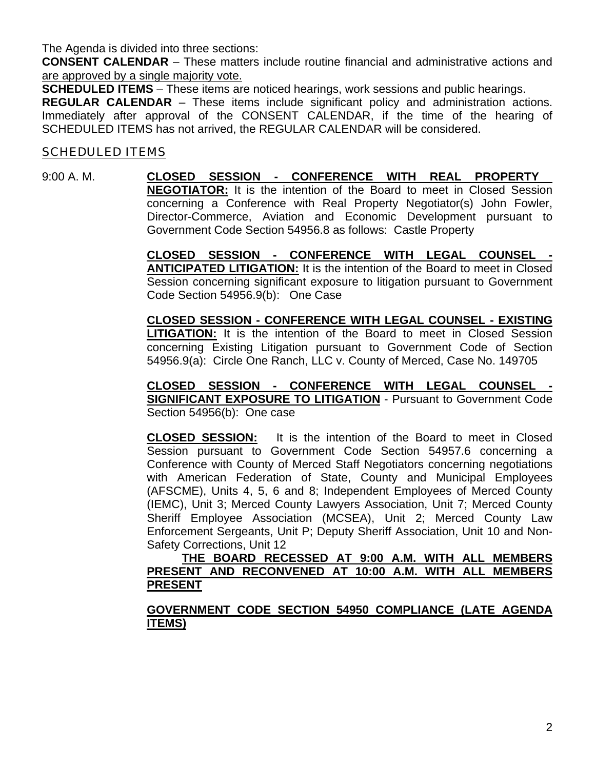The Agenda is divided into three sections:

**CONSENT CALENDAR** – These matters include routine financial and administrative actions and are approved by a single majority vote.

**SCHEDULED ITEMS** – These items are noticed hearings, work sessions and public hearings.

**REGULAR CALENDAR** – These items include significant policy and administration actions. Immediately after approval of the CONSENT CALENDAR, if the time of the hearing of SCHEDULED ITEMS has not arrived, the REGULAR CALENDAR will be considered.

#### SCHEDULED ITEMS

9:00 A. M. **CLOSED SESSION - CONFERENCE WITH REAL PROPERTY NEGOTIATOR:** It is the intention of the Board to meet in Closed Session concerning a Conference with Real Property Negotiator(s) John Fowler, Director-Commerce, Aviation and Economic Development pursuant to Government Code Section 54956.8 as follows: Castle Property

> **CLOSED SESSION - CONFERENCE WITH LEGAL COUNSEL - ANTICIPATED LITIGATION:** It is the intention of the Board to meet in Closed Session concerning significant exposure to litigation pursuant to Government Code Section 54956.9(b): One Case

> **CLOSED SESSION - CONFERENCE WITH LEGAL COUNSEL - EXISTING LITIGATION:** It is the intention of the Board to meet in Closed Session concerning Existing Litigation pursuant to Government Code of Section 54956.9(a): Circle One Ranch, LLC v. County of Merced, Case No. 149705

> CLOSED SESSION - CONFERENCE WITH LEGAL COUNSEL **SIGNIFICANT EXPOSURE TO LITIGATION** - Pursuant to Government Code Section 54956(b): One case

> **CLOSED SESSION:** It is the intention of the Board to meet in Closed Session pursuant to Government Code Section 54957.6 concerning a Conference with County of Merced Staff Negotiators concerning negotiations with American Federation of State, County and Municipal Employees (AFSCME), Units 4, 5, 6 and 8; Independent Employees of Merced County (IEMC), Unit 3; Merced County Lawyers Association, Unit 7; Merced County Sheriff Employee Association (MCSEA), Unit 2; Merced County Law Enforcement Sergeants, Unit P; Deputy Sheriff Association, Unit 10 and Non-Safety Corrections, Unit 12

> **THE BOARD RECESSED AT 9:00 A.M. WITH ALL MEMBERS PRESENT AND RECONVENED AT 10:00 A.M. WITH ALL MEMBERS PRESENT**

> **GOVERNMENT CODE SECTION 54950 COMPLIANCE (LATE AGENDA ITEMS)**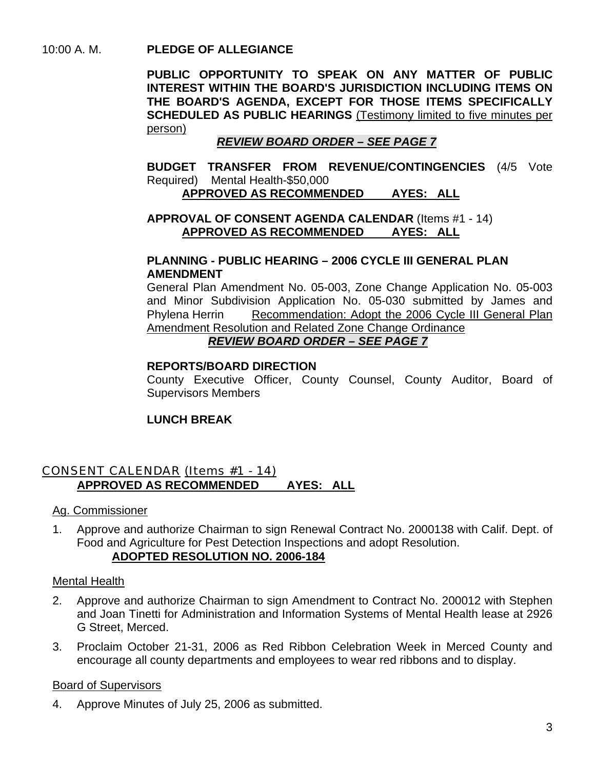10:00 A. M. **PLEDGE OF ALLEGIANCE** 

**PUBLIC OPPORTUNITY TO SPEAK ON ANY MATTER OF PUBLIC INTEREST WITHIN THE BOARD'S JURISDICTION INCLUDING ITEMS ON THE BOARD'S AGENDA, EXCEPT FOR THOSE ITEMS SPECIFICALLY SCHEDULED AS PUBLIC HEARINGS** (Testimony limited to five minutes per person)

## *REVIEW BOARD ORDER – SEE PAGE 7*

 **BUDGET TRANSFER FROM REVENUE/CONTINGENCIES** (4/5 Vote Required) Mental Health-\$50,000 **APPROVED AS RECOMMENDED AYES: ALL**

## **APPROVAL OF CONSENT AGENDA CALENDAR** (Items #1 - 14)

## **APPROVED AS RECOMMENDED AYES: ALL**

#### **PLANNING - PUBLIC HEARING – 2006 CYCLE III GENERAL PLAN AMENDMENT**

General Plan Amendment No. 05-003, Zone Change Application No. 05-003 and Minor Subdivision Application No. 05-030 submitted by James and Phylena Herrin Recommendation: Adopt the 2006 Cycle III General Plan Amendment Resolution and Related Zone Change Ordinance*REVIEW BOARD ORDER – SEE PAGE 7*

#### **REPORTS/BOARD DIRECTION**

County Executive Officer, County Counsel, County Auditor, Board of Supervisors Members

## **LUNCH BREAK**

## CONSENT CALENDAR (Items #1 - 14) **APPROVED AS RECOMMENDED AYES: ALL**

Ag. Commissioner

1. Approve and authorize Chairman to sign Renewal Contract No. 2000138 with Calif. Dept. of Food and Agriculture for Pest Detection Inspections and adopt Resolution. **ADOPTED RESOLUTION NO. 2006-184**

## Mental Health

- 2. Approve and authorize Chairman to sign Amendment to Contract No. 200012 with Stephen and Joan Tinetti for Administration and Information Systems of Mental Health lease at 2926 G Street, Merced.
- 3. Proclaim October 21-31, 2006 as Red Ribbon Celebration Week in Merced County and encourage all county departments and employees to wear red ribbons and to display.

## Board of Supervisors

4. Approve Minutes of July 25, 2006 as submitted.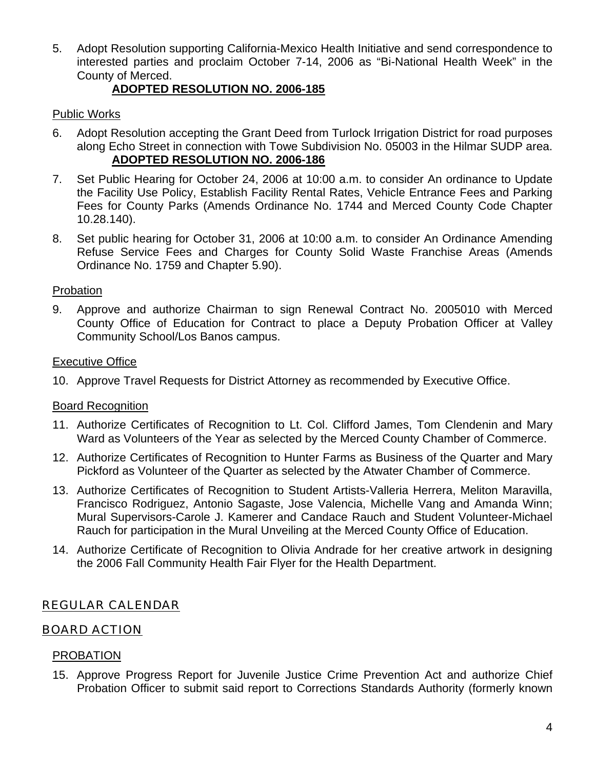5. Adopt Resolution supporting California-Mexico Health Initiative and send correspondence to interested parties and proclaim October 7-14, 2006 as "Bi-National Health Week" in the County of Merced.

## **ADOPTED RESOLUTION NO. 2006-185**

## Public Works

- 6. Adopt Resolution accepting the Grant Deed from Turlock Irrigation District for road purposes along Echo Street in connection with Towe Subdivision No. 05003 in the Hilmar SUDP area. **ADOPTED RESOLUTION NO. 2006-186**
- 7. Set Public Hearing for October 24, 2006 at 10:00 a.m. to consider An ordinance to Update the Facility Use Policy, Establish Facility Rental Rates, Vehicle Entrance Fees and Parking Fees for County Parks (Amends Ordinance No. 1744 and Merced County Code Chapter 10.28.140).
- 8. Set public hearing for October 31, 2006 at 10:00 a.m. to consider An Ordinance Amending Refuse Service Fees and Charges for County Solid Waste Franchise Areas (Amends Ordinance No. 1759 and Chapter 5.90).

## Probation

9. Approve and authorize Chairman to sign Renewal Contract No. 2005010 with Merced County Office of Education for Contract to place a Deputy Probation Officer at Valley Community School/Los Banos campus.

#### Executive Office

10. Approve Travel Requests for District Attorney as recommended by Executive Office.

## Board Recognition

- 11. Authorize Certificates of Recognition to Lt. Col. Clifford James, Tom Clendenin and Mary Ward as Volunteers of the Year as selected by the Merced County Chamber of Commerce.
- 12. Authorize Certificates of Recognition to Hunter Farms as Business of the Quarter and Mary Pickford as Volunteer of the Quarter as selected by the Atwater Chamber of Commerce.
- 13. Authorize Certificates of Recognition to Student Artists-Valleria Herrera, Meliton Maravilla, Francisco Rodriguez, Antonio Sagaste, Jose Valencia, Michelle Vang and Amanda Winn; Mural Supervisors-Carole J. Kamerer and Candace Rauch and Student Volunteer-Michael Rauch for participation in the Mural Unveiling at the Merced County Office of Education.
- 14. Authorize Certificate of Recognition to Olivia Andrade for her creative artwork in designing the 2006 Fall Community Health Fair Flyer for the Health Department.

## REGULAR CALENDAR

## BOARD ACTION

## PROBATION

15. Approve Progress Report for Juvenile Justice Crime Prevention Act and authorize Chief Probation Officer to submit said report to Corrections Standards Authority (formerly known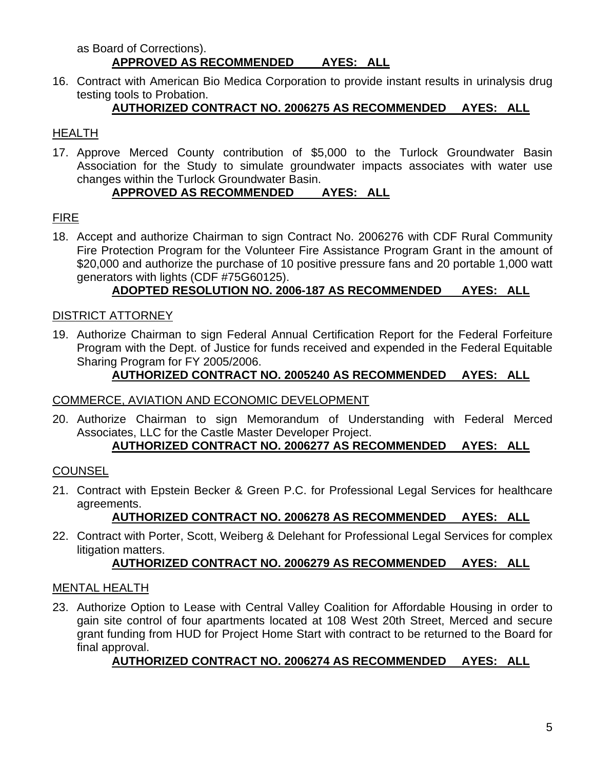#### as Board of Corrections). **APPROVED AS RECOMMENDED AYES: ALL**

16. Contract with American Bio Medica Corporation to provide instant results in urinalysis drug testing tools to Probation.

## **AUTHORIZED CONTRACT NO. 2006275 AS RECOMMENDED AYES: ALL**

## HEALTH

17. Approve Merced County contribution of \$5,000 to the Turlock Groundwater Basin Association for the Study to simulate groundwater impacts associates with water use changes within the Turlock Groundwater Basin.

## **APPROVED AS RECOMMENDED AYES: ALL**

## FIRE

18. Accept and authorize Chairman to sign Contract No. 2006276 with CDF Rural Community Fire Protection Program for the Volunteer Fire Assistance Program Grant in the amount of \$20,000 and authorize the purchase of 10 positive pressure fans and 20 portable 1,000 watt generators with lights (CDF #75G60125).

## **ADOPTED RESOLUTION NO. 2006-187 AS RECOMMENDED AYES: ALL**

## DISTRICT ATTORNEY

19. Authorize Chairman to sign Federal Annual Certification Report for the Federal Forfeiture Program with the Dept. of Justice for funds received and expended in the Federal Equitable Sharing Program for FY 2005/2006.

## **AUTHORIZED CONTRACT NO. 2005240 AS RECOMMENDED AYES: ALL**

## COMMERCE, AVIATION AND ECONOMIC DEVELOPMENT

20. Authorize Chairman to sign Memorandum of Understanding with Federal Merced Associates, LLC for the Castle Master Developer Project.

## **AUTHORIZED CONTRACT NO. 2006277 AS RECOMMENDED AYES: ALL**

## **COUNSEL**

21. Contract with Epstein Becker & Green P.C. for Professional Legal Services for healthcare agreements.

## **AUTHORIZED CONTRACT NO. 2006278 AS RECOMMENDED AYES: ALL**

22. Contract with Porter, Scott, Weiberg & Delehant for Professional Legal Services for complex litigation matters.

## **AUTHORIZED CONTRACT NO. 2006279 AS RECOMMENDED AYES: ALL**

## MENTAL HEALTH

23. Authorize Option to Lease with Central Valley Coalition for Affordable Housing in order to gain site control of four apartments located at 108 West 20th Street, Merced and secure grant funding from HUD for Project Home Start with contract to be returned to the Board for final approval.

## **AUTHORIZED CONTRACT NO. 2006274 AS RECOMMENDED AYES: ALL**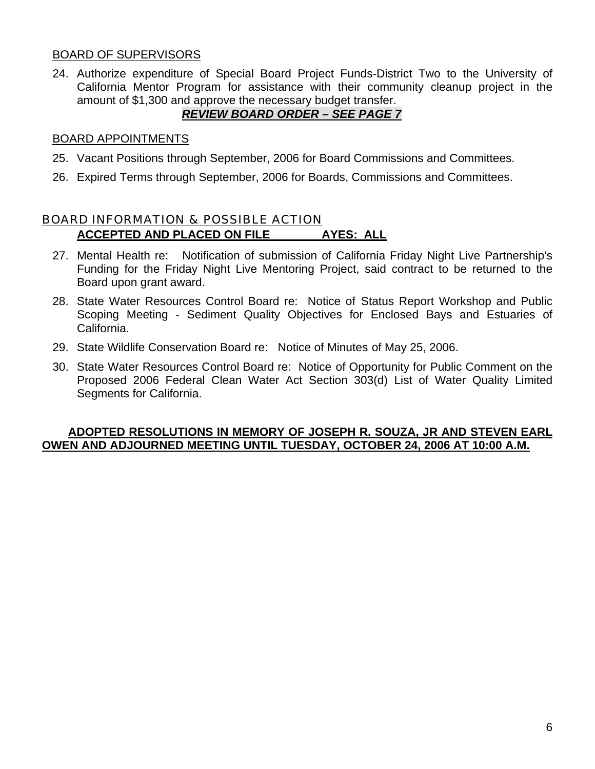### BOARD OF SUPERVISORS

24. Authorize expenditure of Special Board Project Funds-District Two to the University of California Mentor Program for assistance with their community cleanup project in the amount of \$1,300 and approve the necessary budget transfer.

## *REVIEW BOARD ORDER – SEE PAGE 7*

#### BOARD APPOINTMENTS

- 25. Vacant Positions through September, 2006 for Board Commissions and Committees.
- 26. Expired Terms through September, 2006 for Boards, Commissions and Committees.

## BOARD INFORMATION & POSSIBLE ACTION **ACCEPTED AND PLACED ON FILE AYES: ALL**

- 27. Mental Health re: Notification of submission of California Friday Night Live Partnership's Funding for the Friday Night Live Mentoring Project, said contract to be returned to the Board upon grant award.
- 28. State Water Resources Control Board re: Notice of Status Report Workshop and Public Scoping Meeting - Sediment Quality Objectives for Enclosed Bays and Estuaries of California.
- 29. State Wildlife Conservation Board re: Notice of Minutes of May 25, 2006.
- 30. State Water Resources Control Board re: Notice of Opportunity for Public Comment on the Proposed 2006 Federal Clean Water Act Section 303(d) List of Water Quality Limited Segments for California.

#### **ADOPTED RESOLUTIONS IN MEMORY OF JOSEPH R. SOUZA, JR AND STEVEN EARL OWEN AND ADJOURNED MEETING UNTIL TUESDAY, OCTOBER 24, 2006 AT 10:00 A.M.**